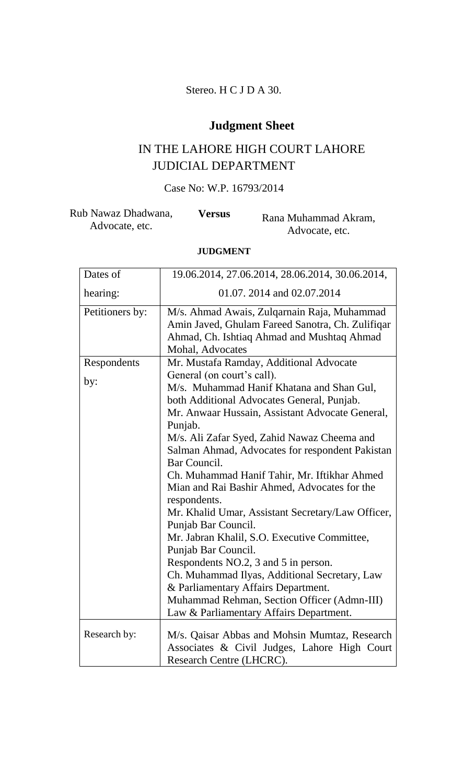# Stereo. H C J D A 30.

# **Judgment Sheet**

# IN THE LAHORE HIGH COURT LAHORE JUDICIAL DEPARTMENT

# Case No: W.P. 16793/2014

| Rub Nawaz Dhadwana, | <b>Versus</b> | Rana Muhammad Akram, |
|---------------------|---------------|----------------------|
| Advocate, etc.      |               | Advocate, etc.       |

# **JUDGMENT**

| Dates of        | 19.06.2014, 27.06.2014, 28.06.2014, 30.06.2014,                                                                                                                                                                                                                                                                                                                                                                                                                                                                                                                                                                                                                                                          |
|-----------------|----------------------------------------------------------------------------------------------------------------------------------------------------------------------------------------------------------------------------------------------------------------------------------------------------------------------------------------------------------------------------------------------------------------------------------------------------------------------------------------------------------------------------------------------------------------------------------------------------------------------------------------------------------------------------------------------------------|
| hearing:        | 01.07. 2014 and 02.07.2014                                                                                                                                                                                                                                                                                                                                                                                                                                                                                                                                                                                                                                                                               |
| Petitioners by: | M/s. Ahmad Awais, Zulqarnain Raja, Muhammad<br>Amin Javed, Ghulam Fareed Sanotra, Ch. Zulifiqar<br>Ahmad, Ch. Ishtiaq Ahmad and Mushtaq Ahmad<br>Mohal, Advocates                                                                                                                                                                                                                                                                                                                                                                                                                                                                                                                                        |
| Respondents     | Mr. Mustafa Ramday, Additional Advocate                                                                                                                                                                                                                                                                                                                                                                                                                                                                                                                                                                                                                                                                  |
| by:             | General (on court's call).<br>M/s. Muhammad Hanif Khatana and Shan Gul,<br>both Additional Advocates General, Punjab.<br>Mr. Anwaar Hussain, Assistant Advocate General,<br>Punjab.<br>M/s. Ali Zafar Syed, Zahid Nawaz Cheema and<br>Salman Ahmad, Advocates for respondent Pakistan<br>Bar Council.<br>Ch. Muhammad Hanif Tahir, Mr. Iftikhar Ahmed<br>Mian and Rai Bashir Ahmed, Advocates for the<br>respondents.<br>Mr. Khalid Umar, Assistant Secretary/Law Officer,<br>Punjab Bar Council.<br>Mr. Jabran Khalil, S.O. Executive Committee,<br>Punjab Bar Council.<br>Respondents NO.2, 3 and 5 in person.<br>Ch. Muhammad Ilyas, Additional Secretary, Law<br>& Parliamentary Affairs Department. |
|                 | Muhammad Rehman, Section Officer (Admn-III)<br>Law & Parliamentary Affairs Department.                                                                                                                                                                                                                                                                                                                                                                                                                                                                                                                                                                                                                   |
| Research by:    | M/s. Qaisar Abbas and Mohsin Mumtaz, Research<br>Associates & Civil Judges, Lahore High Court<br>Research Centre (LHCRC).                                                                                                                                                                                                                                                                                                                                                                                                                                                                                                                                                                                |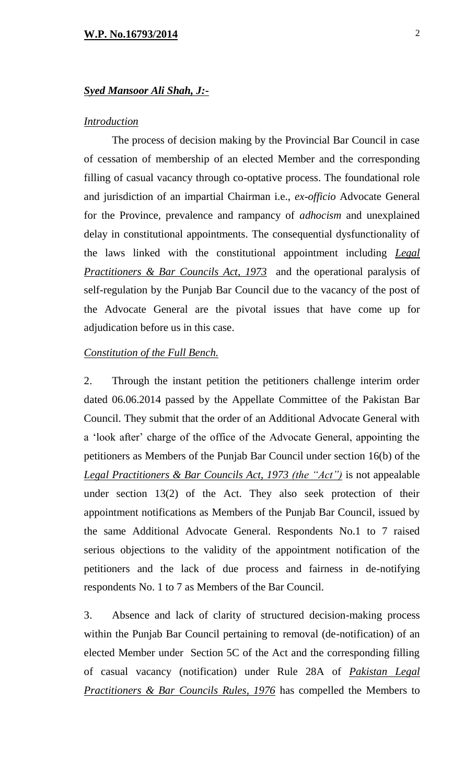### *Syed Mansoor Ali Shah, J:-*

## *Introduction*

The process of decision making by the Provincial Bar Council in case of cessation of membership of an elected Member and the corresponding filling of casual vacancy through co-optative process. The foundational role and jurisdiction of an impartial Chairman i.e., *ex-officio* Advocate General for the Province, prevalence and rampancy of *adhocism* and unexplained delay in constitutional appointments. The consequential dysfunctionality of the laws linked with the constitutional appointment including *Legal Practitioners & Bar Councils Act, 1973* and the operational paralysis of self-regulation by the Punjab Bar Council due to the vacancy of the post of the Advocate General are the pivotal issues that have come up for adjudication before us in this case.

## *Constitution of the Full Bench.*

2. Through the instant petition the petitioners challenge interim order dated 06.06.2014 passed by the Appellate Committee of the Pakistan Bar Council. They submit that the order of an Additional Advocate General with a 'look after' charge of the office of the Advocate General, appointing the petitioners as Members of the Punjab Bar Council under section 16(b) of the *Legal Practitioners & Bar Councils Act, 1973 (the "Act")* is not appealable under section 13(2) of the Act. They also seek protection of their appointment notifications as Members of the Punjab Bar Council, issued by the same Additional Advocate General. Respondents No.1 to 7 raised serious objections to the validity of the appointment notification of the petitioners and the lack of due process and fairness in de-notifying respondents No. 1 to 7 as Members of the Bar Council.

3. Absence and lack of clarity of structured decision-making process within the Punjab Bar Council pertaining to removal (de-notification) of an elected Member under Section 5C of the Act and the corresponding filling of casual vacancy (notification) under Rule 28A of *Pakistan Legal Practitioners & Bar Councils Rules, 1976* has compelled the Members to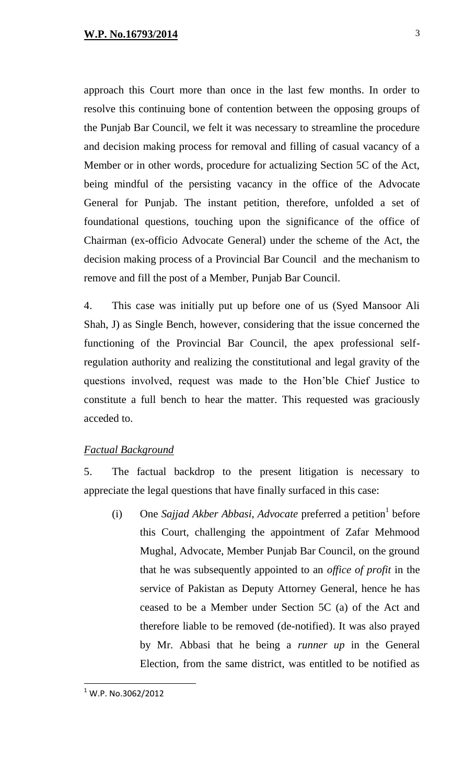approach this Court more than once in the last few months. In order to resolve this continuing bone of contention between the opposing groups of the Punjab Bar Council, we felt it was necessary to streamline the procedure and decision making process for removal and filling of casual vacancy of a Member or in other words, procedure for actualizing Section 5C of the Act, being mindful of the persisting vacancy in the office of the Advocate General for Punjab. The instant petition, therefore, unfolded a set of foundational questions, touching upon the significance of the office of Chairman (ex-officio Advocate General) under the scheme of the Act, the decision making process of a Provincial Bar Council and the mechanism to remove and fill the post of a Member, Punjab Bar Council.

4. This case was initially put up before one of us (Syed Mansoor Ali Shah, J) as Single Bench, however, considering that the issue concerned the functioning of the Provincial Bar Council, the apex professional selfregulation authority and realizing the constitutional and legal gravity of the questions involved, request was made to the Hon'ble Chief Justice to constitute a full bench to hear the matter. This requested was graciously acceded to.

# *Factual Background*

5. The factual backdrop to the present litigation is necessary to appreciate the legal questions that have finally surfaced in this case:

(i) One *Sajjad Akber Abbasi*, *Advocate* preferred a petition<sup>1</sup> before this Court, challenging the appointment of Zafar Mehmood Mughal, Advocate, Member Punjab Bar Council, on the ground that he was subsequently appointed to an *office of profit* in the service of Pakistan as Deputy Attorney General, hence he has ceased to be a Member under Section 5C (a) of the Act and therefore liable to be removed (de-notified). It was also prayed by Mr. Abbasi that he being a *runner up* in the General Election, from the same district, was entitled to be notified as

 $^1$  W.P. No.3062/2012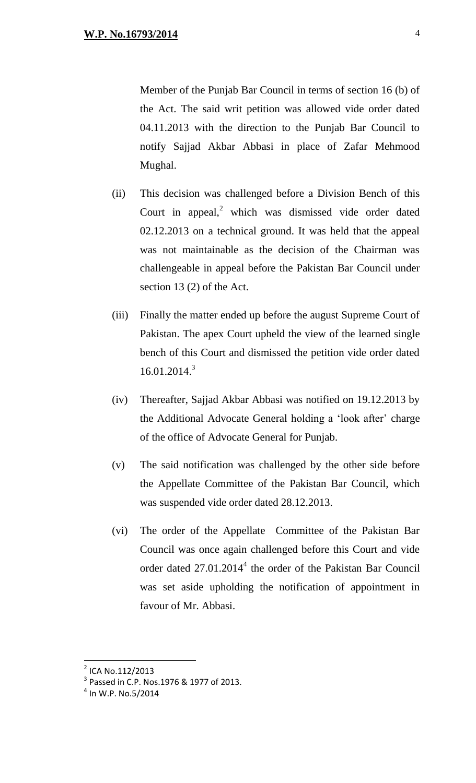Member of the Punjab Bar Council in terms of section 16 (b) of the Act. The said writ petition was allowed vide order dated 04.11.2013 with the direction to the Punjab Bar Council to notify Sajjad Akbar Abbasi in place of Zafar Mehmood Mughal.

- (ii) This decision was challenged before a Division Bench of this Court in appeal,<sup>2</sup> which was dismissed vide order dated 02.12.2013 on a technical ground. It was held that the appeal was not maintainable as the decision of the Chairman was challengeable in appeal before the Pakistan Bar Council under section 13 (2) of the Act.
- (iii) Finally the matter ended up before the august Supreme Court of Pakistan. The apex Court upheld the view of the learned single bench of this Court and dismissed the petition vide order dated 16.01.2014. 3
- (iv) Thereafter, Sajjad Akbar Abbasi was notified on 19.12.2013 by the Additional Advocate General holding a 'look after' charge of the office of Advocate General for Punjab.
- (v) The said notification was challenged by the other side before the Appellate Committee of the Pakistan Bar Council, which was suspended vide order dated 28.12.2013.
- (vi) The order of the Appellate Committee of the Pakistan Bar Council was once again challenged before this Court and vide order dated 27.01.2014<sup>4</sup> the order of the Pakistan Bar Council was set aside upholding the notification of appointment in favour of Mr. Abbasi.

<sup>&</sup>lt;sup>2</sup> ICA No.112/2013

 $3$  Passed in C.P. Nos.1976 & 1977 of 2013.

 $^4$  In W.P. No.5/2014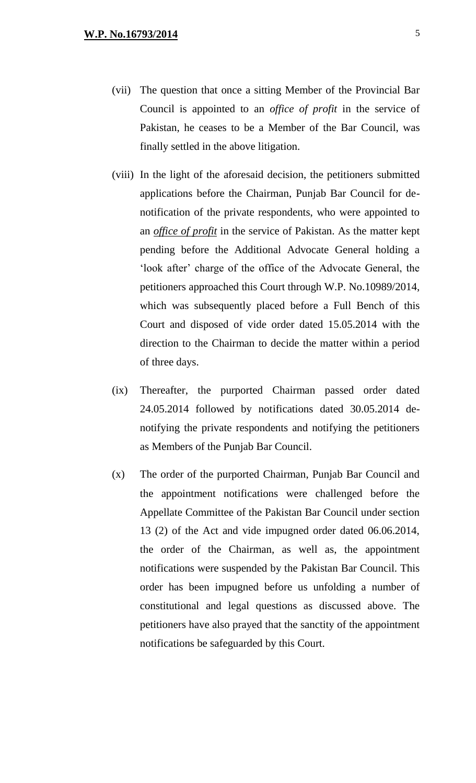- (vii) The question that once a sitting Member of the Provincial Bar Council is appointed to an *office of profit* in the service of Pakistan, he ceases to be a Member of the Bar Council, was finally settled in the above litigation.
- (viii) In the light of the aforesaid decision, the petitioners submitted applications before the Chairman, Punjab Bar Council for denotification of the private respondents, who were appointed to an *office of profit* in the service of Pakistan. As the matter kept pending before the Additional Advocate General holding a 'look after' charge of the office of the Advocate General, the petitioners approached this Court through W.P. No.10989/2014, which was subsequently placed before a Full Bench of this Court and disposed of vide order dated 15.05.2014 with the direction to the Chairman to decide the matter within a period of three days.
- (ix) Thereafter, the purported Chairman passed order dated 24.05.2014 followed by notifications dated 30.05.2014 denotifying the private respondents and notifying the petitioners as Members of the Punjab Bar Council.
- (x) The order of the purported Chairman, Punjab Bar Council and the appointment notifications were challenged before the Appellate Committee of the Pakistan Bar Council under section 13 (2) of the Act and vide impugned order dated 06.06.2014, the order of the Chairman, as well as, the appointment notifications were suspended by the Pakistan Bar Council. This order has been impugned before us unfolding a number of constitutional and legal questions as discussed above. The petitioners have also prayed that the sanctity of the appointment notifications be safeguarded by this Court.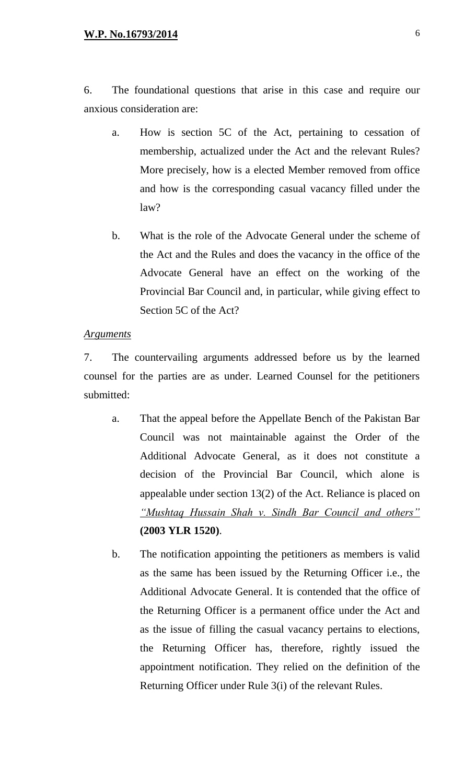6. The foundational questions that arise in this case and require our anxious consideration are:

- a. How is section 5C of the Act, pertaining to cessation of membership, actualized under the Act and the relevant Rules? More precisely, how is a elected Member removed from office and how is the corresponding casual vacancy filled under the law?
- b. What is the role of the Advocate General under the scheme of the Act and the Rules and does the vacancy in the office of the Advocate General have an effect on the working of the Provincial Bar Council and, in particular, while giving effect to Section 5C of the Act?

#### *Arguments*

7. The countervailing arguments addressed before us by the learned counsel for the parties are as under. Learned Counsel for the petitioners submitted:

- a. That the appeal before the Appellate Bench of the Pakistan Bar Council was not maintainable against the Order of the Additional Advocate General, as it does not constitute a decision of the Provincial Bar Council, which alone is appealable under section 13(2) of the Act. Reliance is placed on *"Mushtaq Hussain Shah v. Sindh Bar Council and others"* **(2003 YLR 1520)**.
- b. The notification appointing the petitioners as members is valid as the same has been issued by the Returning Officer i.e., the Additional Advocate General. It is contended that the office of the Returning Officer is a permanent office under the Act and as the issue of filling the casual vacancy pertains to elections, the Returning Officer has, therefore, rightly issued the appointment notification. They relied on the definition of the Returning Officer under Rule 3(i) of the relevant Rules.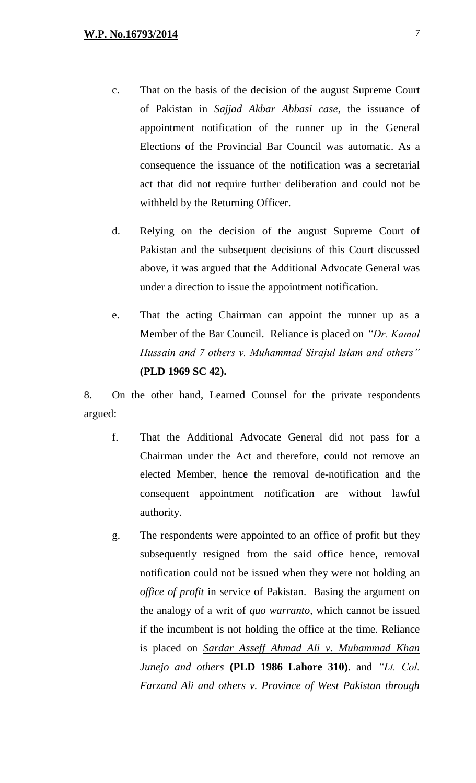- c. That on the basis of the decision of the august Supreme Court of Pakistan in *Sajjad Akbar Abbasi case,* the issuance of appointment notification of the runner up in the General Elections of the Provincial Bar Council was automatic. As a consequence the issuance of the notification was a secretarial act that did not require further deliberation and could not be withheld by the Returning Officer.
- d. Relying on the decision of the august Supreme Court of Pakistan and the subsequent decisions of this Court discussed above, it was argued that the Additional Advocate General was under a direction to issue the appointment notification.
- e. That the acting Chairman can appoint the runner up as a Member of the Bar Council. Reliance is placed on *"Dr. Kamal Hussain and 7 others v. Muhammad Sirajul Islam and others"* **(PLD 1969 SC 42).**

8. On the other hand, Learned Counsel for the private respondents argued:

- f. That the Additional Advocate General did not pass for a Chairman under the Act and therefore, could not remove an elected Member, hence the removal de-notification and the consequent appointment notification are without lawful authority.
- g. The respondents were appointed to an office of profit but they subsequently resigned from the said office hence, removal notification could not be issued when they were not holding an *office of profit* in service of Pakistan. Basing the argument on the analogy of a writ of *quo warranto*, which cannot be issued if the incumbent is not holding the office at the time. Reliance is placed on *Sardar Asseff Ahmad Ali v. Muhammad Khan Junejo and others* **(PLD 1986 Lahore 310)**. and *"Lt. Col. Farzand Ali and others v. Province of West Pakistan through*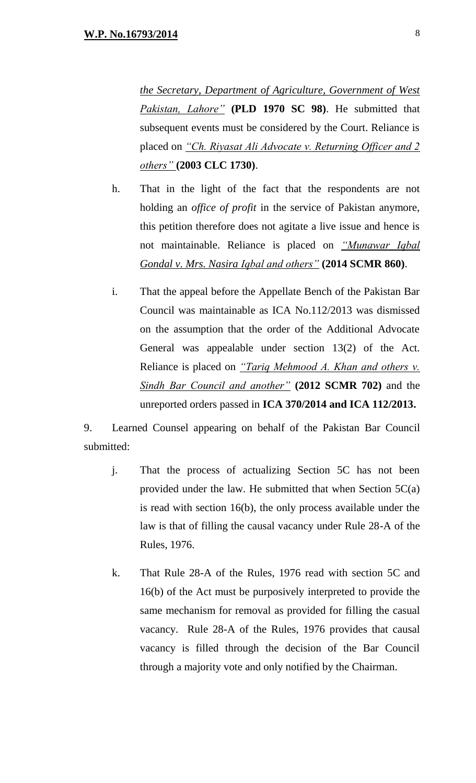*the Secretary, Department of Agriculture, Government of West Pakistan, Lahore"* **(PLD 1970 SC 98)**. He submitted that subsequent events must be considered by the Court. Reliance is placed on *"Ch. Riyasat Ali Advocate v. Returning Officer and 2 others"* **(2003 CLC 1730)**.

- h. That in the light of the fact that the respondents are not holding an *office of profit* in the service of Pakistan anymore, this petition therefore does not agitate a live issue and hence is not maintainable. Reliance is placed on *"Munawar Iqbal Gondal v. Mrs. Nasira Iqbal and others"* **(2014 SCMR 860)**.
- i. That the appeal before the Appellate Bench of the Pakistan Bar Council was maintainable as ICA No.112/2013 was dismissed on the assumption that the order of the Additional Advocate General was appealable under section 13(2) of the Act. Reliance is placed on *"Tariq Mehmood A. Khan and others v. Sindh Bar Council and another"* **(2012 SCMR 702)** and the unreported orders passed in **ICA 370/2014 and ICA 112/2013.**

9. Learned Counsel appearing on behalf of the Pakistan Bar Council submitted:

- j. That the process of actualizing Section 5C has not been provided under the law. He submitted that when Section 5C(a) is read with section 16(b), the only process available under the law is that of filling the causal vacancy under Rule 28-A of the Rules, 1976.
- k. That Rule 28-A of the Rules, 1976 read with section 5C and 16(b) of the Act must be purposively interpreted to provide the same mechanism for removal as provided for filling the casual vacancy. Rule 28-A of the Rules, 1976 provides that causal vacancy is filled through the decision of the Bar Council through a majority vote and only notified by the Chairman.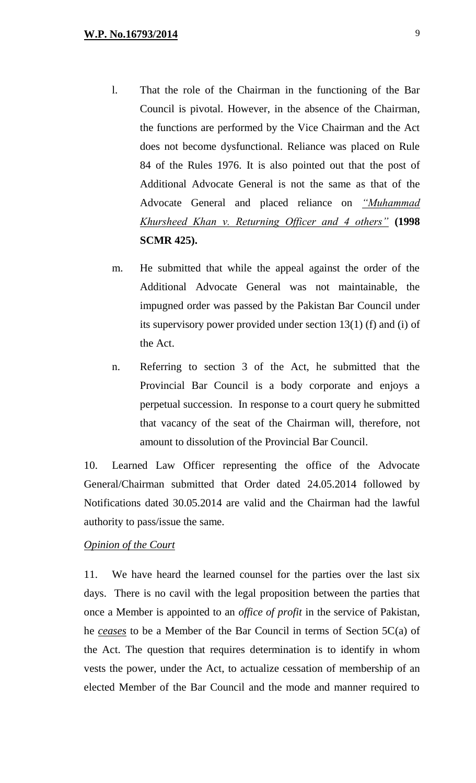- l. That the role of the Chairman in the functioning of the Bar Council is pivotal. However, in the absence of the Chairman, the functions are performed by the Vice Chairman and the Act does not become dysfunctional. Reliance was placed on Rule 84 of the Rules 1976. It is also pointed out that the post of Additional Advocate General is not the same as that of the Advocate General and placed reliance on *"Muhammad Khursheed Khan v. Returning Officer and 4 others"* **(1998 SCMR 425).**
- m. He submitted that while the appeal against the order of the Additional Advocate General was not maintainable, the impugned order was passed by the Pakistan Bar Council under its supervisory power provided under section 13(1) (f) and (i) of the Act.
- n. Referring to section 3 of the Act, he submitted that the Provincial Bar Council is a body corporate and enjoys a perpetual succession. In response to a court query he submitted that vacancy of the seat of the Chairman will, therefore, not amount to dissolution of the Provincial Bar Council.

10. Learned Law Officer representing the office of the Advocate General/Chairman submitted that Order dated 24.05.2014 followed by Notifications dated 30.05.2014 are valid and the Chairman had the lawful authority to pass/issue the same.

## *Opinion of the Court*

11. We have heard the learned counsel for the parties over the last six days. There is no cavil with the legal proposition between the parties that once a Member is appointed to an *office of profit* in the service of Pakistan, he *ceases* to be a Member of the Bar Council in terms of Section 5C(a) of the Act. The question that requires determination is to identify in whom vests the power, under the Act, to actualize cessation of membership of an elected Member of the Bar Council and the mode and manner required to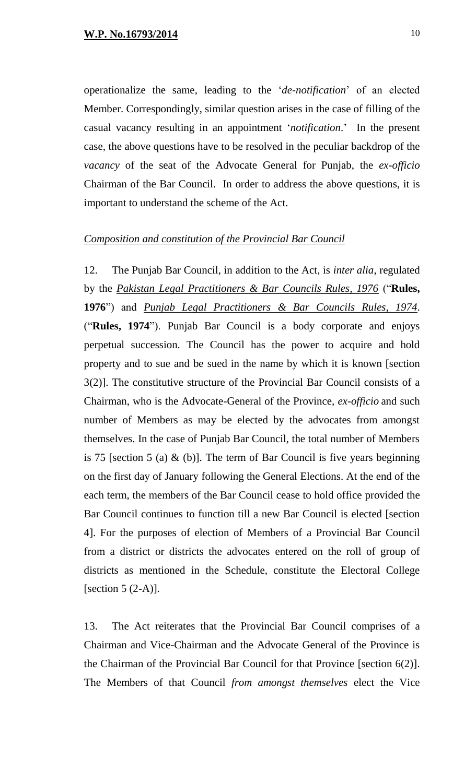operationalize the same, leading to the '*de-notification*' of an elected Member. Correspondingly, similar question arises in the case of filling of the casual vacancy resulting in an appointment '*notification*.' In the present case, the above questions have to be resolved in the peculiar backdrop of the *vacancy* of the seat of the Advocate General for Punjab, the *ex-officio* Chairman of the Bar Council. In order to address the above questions, it is important to understand the scheme of the Act.

#### *Composition and constitution of the Provincial Bar Council*

12. The Punjab Bar Council, in addition to the Act, is *inter alia*, regulated by the *Pakistan Legal Practitioners & Bar Councils Rules, 1976* ("**Rules, 1976**") and *Punjab Legal Practitioners & Bar Councils Rules, 1974*. ("**Rules, 1974**"). Punjab Bar Council is a body corporate and enjoys perpetual succession. The Council has the power to acquire and hold property and to sue and be sued in the name by which it is known [section 3(2)]. The constitutive structure of the Provincial Bar Council consists of a Chairman, who is the Advocate-General of the Province, *ex-officio* and such number of Members as may be elected by the advocates from amongst themselves. In the case of Punjab Bar Council, the total number of Members is 75 [section 5 (a)  $\&$  (b)]. The term of Bar Council is five years beginning on the first day of January following the General Elections. At the end of the each term, the members of the Bar Council cease to hold office provided the Bar Council continues to function till a new Bar Council is elected [section 4]. For the purposes of election of Members of a Provincial Bar Council from a district or districts the advocates entered on the roll of group of districts as mentioned in the Schedule, constitute the Electoral College [section  $5(2-A)$ ].

13. The Act reiterates that the Provincial Bar Council comprises of a Chairman and Vice-Chairman and the Advocate General of the Province is the Chairman of the Provincial Bar Council for that Province [section 6(2)]. The Members of that Council *from amongst themselves* elect the Vice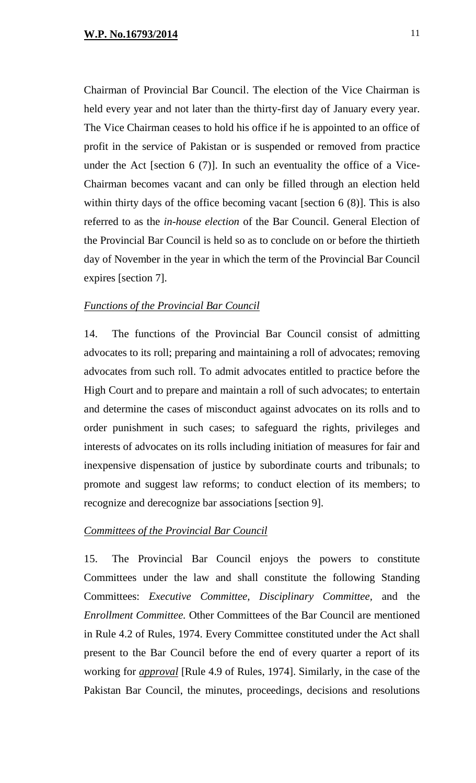Chairman of Provincial Bar Council. The election of the Vice Chairman is held every year and not later than the thirty-first day of January every year. The Vice Chairman ceases to hold his office if he is appointed to an office of profit in the service of Pakistan or is suspended or removed from practice under the Act [section 6 (7)]. In such an eventuality the office of a Vice-Chairman becomes vacant and can only be filled through an election held within thirty days of the office becoming vacant [section 6 (8)]. This is also referred to as the *in-house election* of the Bar Council. General Election of the Provincial Bar Council is held so as to conclude on or before the thirtieth day of November in the year in which the term of the Provincial Bar Council expires [section 7].

## *Functions of the Provincial Bar Council*

14. The functions of the Provincial Bar Council consist of admitting advocates to its roll; preparing and maintaining a roll of advocates; removing advocates from such roll. To admit advocates entitled to practice before the High Court and to prepare and maintain a roll of such advocates; to entertain and determine the cases of misconduct against advocates on its rolls and to order punishment in such cases; to safeguard the rights, privileges and interests of advocates on its rolls including initiation of measures for fair and inexpensive dispensation of justice by subordinate courts and tribunals; to promote and suggest law reforms; to conduct election of its members; to recognize and derecognize bar associations [section 9].

## *Committees of the Provincial Bar Council*

15. The Provincial Bar Council enjoys the powers to constitute Committees under the law and shall constitute the following Standing Committees: *Executive Committee, Disciplinary Committee,* and the *Enrollment Committee.* Other Committees of the Bar Council are mentioned in Rule 4.2 of Rules, 1974. Every Committee constituted under the Act shall present to the Bar Council before the end of every quarter a report of its working for *approval* [Rule 4.9 of Rules, 1974]. Similarly, in the case of the Pakistan Bar Council, the minutes, proceedings, decisions and resolutions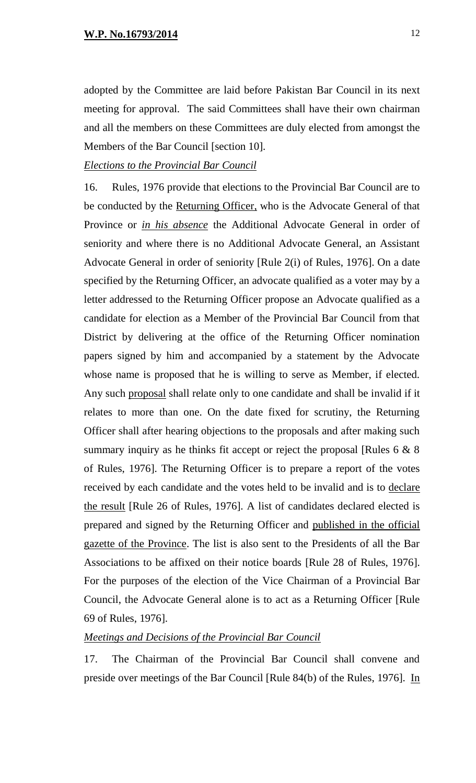adopted by the Committee are laid before Pakistan Bar Council in its next meeting for approval. The said Committees shall have their own chairman and all the members on these Committees are duly elected from amongst the Members of the Bar Council [section 10].

# *Elections to the Provincial Bar Council*

16. Rules, 1976 provide that elections to the Provincial Bar Council are to be conducted by the Returning Officer, who is the Advocate General of that Province or *in his absence* the Additional Advocate General in order of seniority and where there is no Additional Advocate General, an Assistant Advocate General in order of seniority [Rule 2(i) of Rules, 1976]. On a date specified by the Returning Officer, an advocate qualified as a voter may by a letter addressed to the Returning Officer propose an Advocate qualified as a candidate for election as a Member of the Provincial Bar Council from that District by delivering at the office of the Returning Officer nomination papers signed by him and accompanied by a statement by the Advocate whose name is proposed that he is willing to serve as Member, if elected. Any such proposal shall relate only to one candidate and shall be invalid if it relates to more than one. On the date fixed for scrutiny, the Returning Officer shall after hearing objections to the proposals and after making such summary inquiry as he thinks fit accept or reject the proposal [Rules  $6 \& 8$ ] of Rules, 1976]. The Returning Officer is to prepare a report of the votes received by each candidate and the votes held to be invalid and is to declare the result [Rule 26 of Rules, 1976]. A list of candidates declared elected is prepared and signed by the Returning Officer and published in the official gazette of the Province. The list is also sent to the Presidents of all the Bar Associations to be affixed on their notice boards [Rule 28 of Rules, 1976]. For the purposes of the election of the Vice Chairman of a Provincial Bar Council, the Advocate General alone is to act as a Returning Officer [Rule 69 of Rules, 1976].

## *Meetings and Decisions of the Provincial Bar Council*

17. The Chairman of the Provincial Bar Council shall convene and preside over meetings of the Bar Council [Rule 84(b) of the Rules, 1976]. In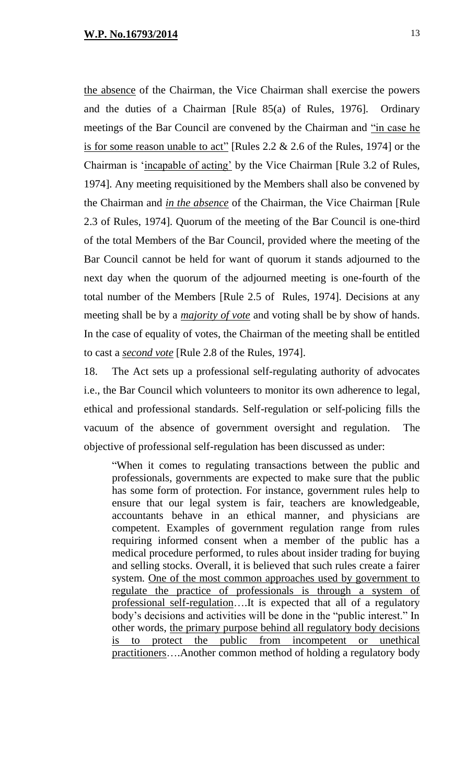the absence of the Chairman, the Vice Chairman shall exercise the powers and the duties of a Chairman [Rule 85(a) of Rules, 1976]. Ordinary meetings of the Bar Council are convened by the Chairman and "in case he is for some reason unable to act" [Rules 2.2 & 2.6 of the Rules, 1974] or the Chairman is 'incapable of acting' by the Vice Chairman [Rule 3.2 of Rules, 1974]. Any meeting requisitioned by the Members shall also be convened by the Chairman and *in the absence* of the Chairman, the Vice Chairman [Rule 2.3 of Rules, 1974]. Quorum of the meeting of the Bar Council is one-third of the total Members of the Bar Council, provided where the meeting of the Bar Council cannot be held for want of quorum it stands adjourned to the next day when the quorum of the adjourned meeting is one-fourth of the total number of the Members [Rule 2.5 of Rules, 1974]. Decisions at any meeting shall be by a *majority of vote* and voting shall be by show of hands. In the case of equality of votes, the Chairman of the meeting shall be entitled to cast a *second vote* [Rule 2.8 of the Rules, 1974].

18. The Act sets up a professional self-regulating authority of advocates i.e., the Bar Council which volunteers to monitor its own adherence to legal, ethical and professional standards. Self-regulation or self-policing fills the vacuum of the absence of government oversight and regulation. The objective of professional self-regulation has been discussed as under:

"When it comes to regulating transactions between the public and professionals, governments are expected to make sure that the public has some form of protection. For instance, government rules help to ensure that our legal system is fair, teachers are knowledgeable, accountants behave in an ethical manner, and physicians are competent. Examples of government regulation range from rules requiring informed consent when a member of the public has a medical procedure performed, to rules about insider trading for buying and selling stocks. Overall, it is believed that such rules create a fairer system. One of the most common approaches used by government to regulate the practice of professionals is through a system of professional self-regulation….It is expected that all of a regulatory body's decisions and activities will be done in the "public interest." In other words, the primary purpose behind all regulatory body decisions is to protect the public from incompetent or unethical practitioners….Another common method of holding a regulatory body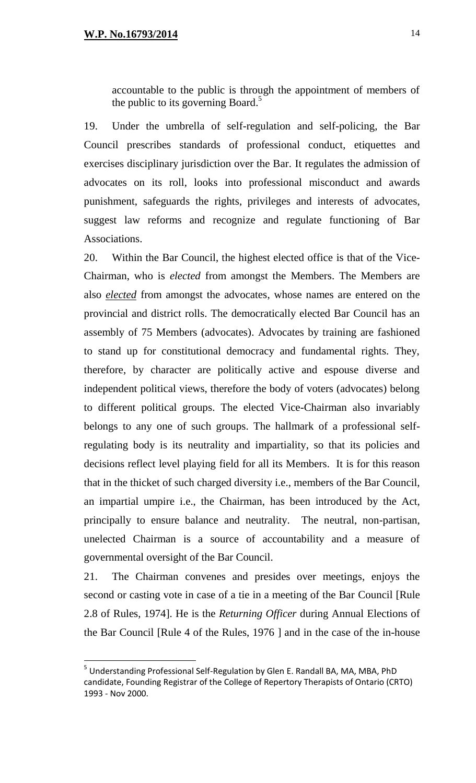accountable to the public is through the appointment of members of the public to its governing Board.<sup>5</sup>

19. Under the umbrella of self-regulation and self-policing, the Bar Council prescribes standards of [professional conduct,](http://en.wikipedia.org/wiki/Professional_conduct) [etiquettes](http://en.wikipedia.org/wiki/Etiquette) and exercises disciplinary jurisdiction over the Bar. It regulates the admission of advocates on its roll, looks into professional misconduct and awards punishment, safeguards the rights, privileges and interests of advocates, suggest law reforms and recognize and regulate functioning of Bar Associations.

20. Within the Bar Council, the highest elected office is that of the Vice-Chairman, who is *elected* from amongst the Members. The Members are also *elected* from amongst the advocates, whose names are entered on the provincial and district rolls. The democratically elected Bar Council has an assembly of 75 Members (advocates). Advocates by training are fashioned to stand up for constitutional democracy and fundamental rights. They, therefore, by character are politically active and espouse diverse and independent political views, therefore the body of voters (advocates) belong to different political groups. The elected Vice-Chairman also invariably belongs to any one of such groups. The hallmark of a professional selfregulating body is its neutrality and impartiality, so that its policies and decisions reflect level playing field for all its Members. It is for this reason that in the thicket of such charged diversity i.e., members of the Bar Council, an impartial umpire i.e., the Chairman, has been introduced by the Act, principally to ensure balance and neutrality. The neutral, non-partisan, unelected Chairman is a source of accountability and a measure of governmental oversight of the Bar Council.

21. The Chairman convenes and presides over meetings, enjoys the second or casting vote in case of a tie in a meeting of the Bar Council [Rule 2.8 of Rules, 1974]. He is the *Returning Officer* during Annual Elections of the Bar Council [Rule 4 of the Rules, 1976 ] and in the case of the in-house

<sup>&</sup>lt;sup>5</sup> Understanding Professional Self-Regulation by Glen E. Randall BA, MA, MBA, PhD candidate, Founding Registrar of the College of Repertory Therapists of Ontario (CRTO) 1993 - Nov 2000.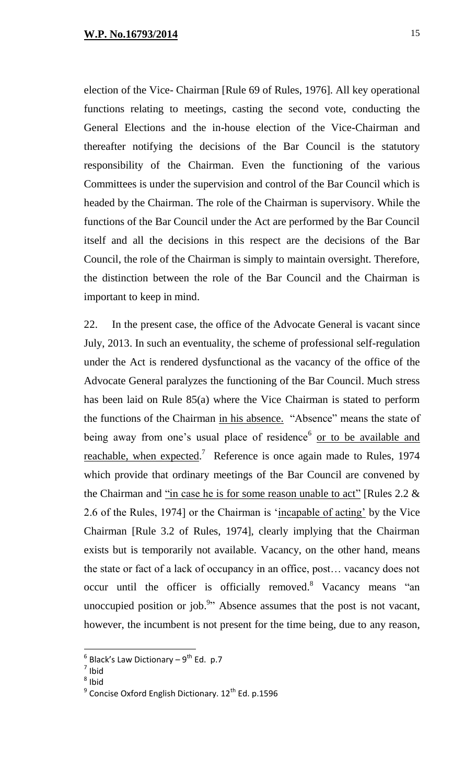election of the Vice- Chairman [Rule 69 of Rules, 1976]. All key operational functions relating to meetings, casting the second vote, conducting the General Elections and the in-house election of the Vice-Chairman and thereafter notifying the decisions of the Bar Council is the statutory responsibility of the Chairman. Even the functioning of the various Committees is under the supervision and control of the Bar Council which is headed by the Chairman. The role of the Chairman is supervisory. While the functions of the Bar Council under the Act are performed by the Bar Council itself and all the decisions in this respect are the decisions of the Bar Council, the role of the Chairman is simply to maintain oversight. Therefore, the distinction between the role of the Bar Council and the Chairman is important to keep in mind.

22. In the present case, the office of the Advocate General is vacant since July, 2013. In such an eventuality, the scheme of professional self-regulation under the Act is rendered dysfunctional as the vacancy of the office of the Advocate General paralyzes the functioning of the Bar Council. Much stress has been laid on Rule 85(a) where the Vice Chairman is stated to perform the functions of the Chairman in his absence. "Absence" means the state of being away from one's usual place of residence<sup>6</sup> or to be available and reachable, when expected.<sup>7</sup> Reference is once again made to Rules, 1974 which provide that ordinary meetings of the Bar Council are convened by the Chairman and "in case he is for some reason unable to act" [Rules  $2.2 \&$ 2.6 of the Rules, 1974] or the Chairman is 'incapable of acting' by the Vice Chairman [Rule 3.2 of Rules, 1974], clearly implying that the Chairman exists but is temporarily not available. Vacancy, on the other hand, means the state or fact of a lack of occupancy in an office, post… vacancy does not occur until the officer is officially removed.<sup>8</sup> Vacancy means "an unoccupied position or job.<sup>9</sup> $\cdot$  Absence assumes that the post is not vacant, however, the incumbent is not present for the time being, due to any reason,

 $^6$  Black's Law Dictionary – 9<sup>th</sup> Ed. p.7

<sup>7</sup> Ibid

<sup>&</sup>lt;sup>8</sup> Ibid

 $^9$  Concise Oxford English Dictionary. 12<sup>th</sup> Ed. p.1596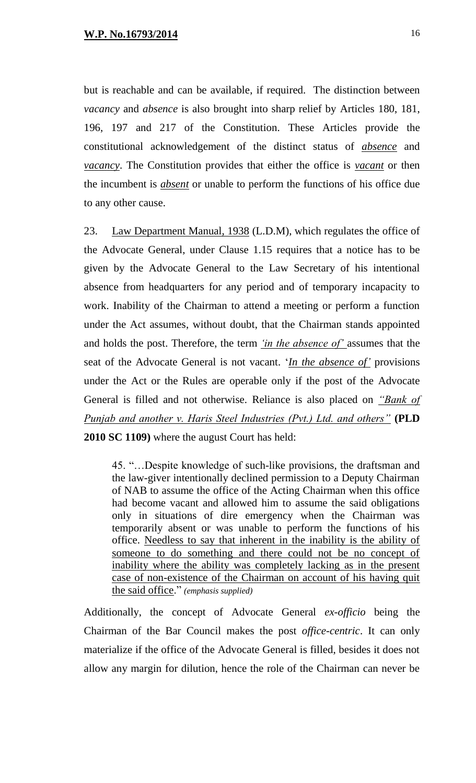but is reachable and can be available, if required. The distinction between *vacancy* and *absence* is also brought into sharp relief by Articles 180, 181, 196, 197 and 217 of the Constitution. These Articles provide the constitutional acknowledgement of the distinct status of *absence* and *vacancy*. The Constitution provides that either the office is *vacant* or then the incumbent is *absent* or unable to perform the functions of his office due to any other cause.

23. Law Department Manual, 1938 (L.D.M), which regulates the office of the Advocate General, under Clause 1.15 requires that a notice has to be given by the Advocate General to the Law Secretary of his intentional absence from headquarters for any period and of temporary incapacity to work. Inability of the Chairman to attend a meeting or perform a function under the Act assumes, without doubt, that the Chairman stands appointed and holds the post. Therefore, the term *'in the absence of'* assumes that the seat of the Advocate General is not vacant. '*In the absence of'* provisions under the Act or the Rules are operable only if the post of the Advocate General is filled and not otherwise. Reliance is also placed on *"Bank of Punjab and another v. Haris Steel Industries (Pvt.) Ltd. and others"* **(PLD 2010 SC 1109)** where the august Court has held:

45. "…Despite knowledge of such-like provisions, the draftsman and the law-giver intentionally declined permission to a Deputy Chairman of NAB to assume the office of the Acting Chairman when this office had become vacant and allowed him to assume the said obligations only in situations of dire emergency when the Chairman was temporarily absent or was unable to perform the functions of his office. Needless to say that inherent in the inability is the ability of someone to do something and there could not be no concept of inability where the ability was completely lacking as in the present case of non-existence of the Chairman on account of his having quit the said office." *(emphasis supplied)* 

Additionally, the concept of Advocate General *ex-officio* being the Chairman of the Bar Council makes the post *office-centric*. It can only materialize if the office of the Advocate General is filled, besides it does not allow any margin for dilution, hence the role of the Chairman can never be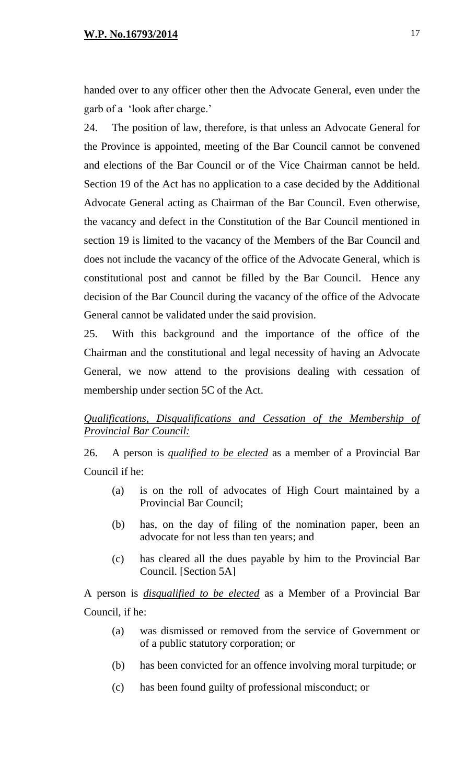handed over to any officer other then the Advocate General, even under the garb of a 'look after charge.'

24. The position of law, therefore, is that unless an Advocate General for the Province is appointed, meeting of the Bar Council cannot be convened and elections of the Bar Council or of the Vice Chairman cannot be held. Section 19 of the Act has no application to a case decided by the Additional Advocate General acting as Chairman of the Bar Council. Even otherwise, the vacancy and defect in the Constitution of the Bar Council mentioned in section 19 is limited to the vacancy of the Members of the Bar Council and does not include the vacancy of the office of the Advocate General, which is constitutional post and cannot be filled by the Bar Council. Hence any decision of the Bar Council during the vacancy of the office of the Advocate General cannot be validated under the said provision.

25. With this background and the importance of the office of the Chairman and the constitutional and legal necessity of having an Advocate General, we now attend to the provisions dealing with cessation of membership under section 5C of the Act.

# *Qualifications, Disqualifications and Cessation of the Membership of Provincial Bar Council:*

26. A person is *qualified to be elected* as a member of a Provincial Bar Council if he:

- (a) is on the roll of advocates of High Court maintained by a Provincial Bar Council;
- (b) has, on the day of filing of the nomination paper, been an advocate for not less than ten years; and
- (c) has cleared all the dues payable by him to the Provincial Bar Council. [Section 5A]

A person is *disqualified to be elected* as a Member of a Provincial Bar Council, if he:

- (a) was dismissed or removed from the service of Government or of a public statutory corporation; or
- (b) has been convicted for an offence involving moral turpitude; or
- (c) has been found guilty of professional misconduct; or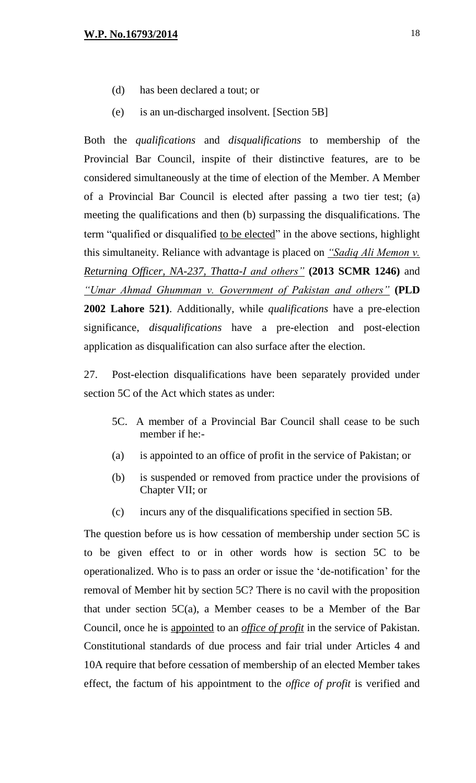- (d) has been declared a tout; or
- (e) is an un-discharged insolvent. [Section 5B]

Both the *qualifications* and *disqualifications* to membership of the Provincial Bar Council, inspite of their distinctive features, are to be considered simultaneously at the time of election of the Member. A Member of a Provincial Bar Council is elected after passing a two tier test; (a) meeting the qualifications and then (b) surpassing the disqualifications. The term "qualified or disqualified to be elected" in the above sections, highlight this simultaneity. Reliance with advantage is placed on *"Sadiq Ali Memon v. Returning Officer, NA-237, Thatta-I and others"* **(2013 SCMR 1246)** and *"Umar Ahmad Ghumman v. Government of Pakistan and others"* **(PLD 2002 Lahore 521)**. Additionally, while *qualifications* have a pre-election significance, *disqualifications* have a pre-election and post-election application as disqualification can also surface after the election.

27. Post-election disqualifications have been separately provided under section 5C of the Act which states as under:

- 5C. A member of a Provincial Bar Council shall cease to be such member if he:-
- (a) is appointed to an office of profit in the service of Pakistan; or
- (b) is suspended or removed from practice under the provisions of Chapter VII; or
- (c) incurs any of the disqualifications specified in section 5B.

The question before us is how cessation of membership under section 5C is to be given effect to or in other words how is section 5C to be operationalized. Who is to pass an order or issue the 'de-notification' for the removal of Member hit by section 5C? There is no cavil with the proposition that under section  $5C(a)$ , a Member ceases to be a Member of the Bar Council, once he is appointed to an *office of profit* in the service of Pakistan. Constitutional standards of due process and fair trial under Articles 4 and 10A require that before cessation of membership of an elected Member takes effect, the factum of his appointment to the *office of profit* is verified and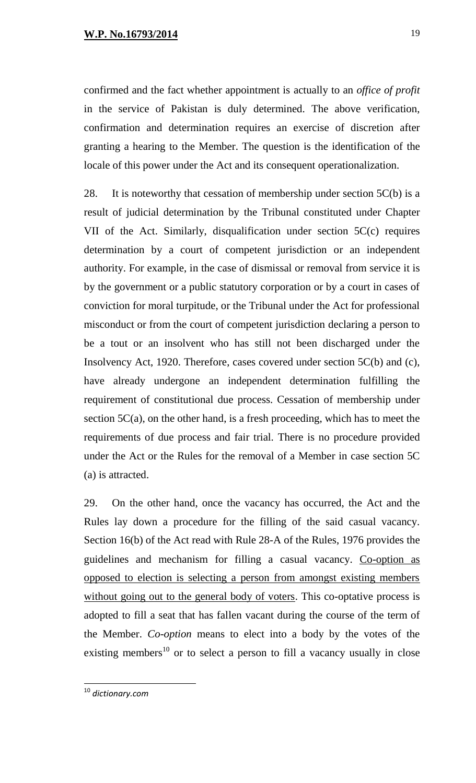confirmed and the fact whether appointment is actually to an *office of profit* in the service of Pakistan is duly determined. The above verification, confirmation and determination requires an exercise of discretion after granting a hearing to the Member. The question is the identification of the locale of this power under the Act and its consequent operationalization.

28. It is noteworthy that cessation of membership under section  $5C(b)$  is a result of judicial determination by the Tribunal constituted under Chapter VII of the Act. Similarly, disqualification under section 5C(c) requires determination by a court of competent jurisdiction or an independent authority. For example, in the case of dismissal or removal from service it is by the government or a public statutory corporation or by a court in cases of conviction for moral turpitude, or the Tribunal under the Act for professional misconduct or from the court of competent jurisdiction declaring a person to be a tout or an insolvent who has still not been discharged under the Insolvency Act, 1920. Therefore, cases covered under section 5C(b) and (c), have already undergone an independent determination fulfilling the requirement of constitutional due process. Cessation of membership under section  $5C(a)$ , on the other hand, is a fresh proceeding, which has to meet the requirements of due process and fair trial. There is no procedure provided under the Act or the Rules for the removal of a Member in case section 5C (a) is attracted.

29. On the other hand, once the vacancy has occurred, the Act and the Rules lay down a procedure for the filling of the said casual vacancy. Section 16(b) of the Act read with Rule 28-A of the Rules, 1976 provides the guidelines and mechanism for filling a casual vacancy. Co-option as opposed to election is selecting a person from amongst existing members without going out to the general body of voters. This co-optative process is adopted to fill a seat that has fallen vacant during the course of the term of the Member. *Co-option* means to elect into a body by the votes of the existing members<sup>10</sup> or to select a person to fill a vacancy usually in close

<sup>10</sup> *dictionary.com*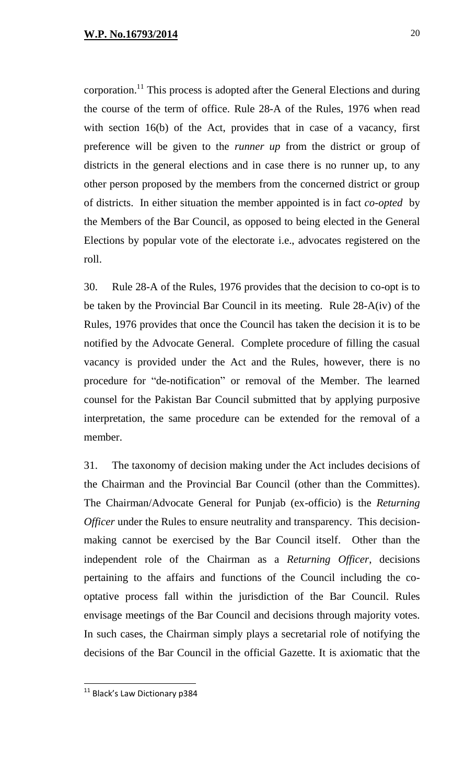corporation.<sup>11</sup> This process is adopted after the General Elections and during the course of the term of office. Rule 28-A of the Rules, 1976 when read with section 16(b) of the Act, provides that in case of a vacancy, first preference will be given to the *runner up* from the district or group of districts in the general elections and in case there is no runner up, to any other person proposed by the members from the concerned district or group of districts. In either situation the member appointed is in fact *co-opted* by the Members of the Bar Council, as opposed to being elected in the General Elections by popular vote of the electorate i.e., advocates registered on the roll.

30. Rule 28-A of the Rules, 1976 provides that the decision to co-opt is to be taken by the Provincial Bar Council in its meeting. Rule 28-A(iv) of the Rules, 1976 provides that once the Council has taken the decision it is to be notified by the Advocate General. Complete procedure of filling the casual vacancy is provided under the Act and the Rules, however, there is no procedure for "de-notification" or removal of the Member. The learned counsel for the Pakistan Bar Council submitted that by applying purposive interpretation, the same procedure can be extended for the removal of a member.

31. The taxonomy of decision making under the Act includes decisions of the Chairman and the Provincial Bar Council (other than the Committes). The Chairman/Advocate General for Punjab (ex-officio) is the *Returning Officer* under the Rules to ensure neutrality and transparency. This decisionmaking cannot be exercised by the Bar Council itself. Other than the independent role of the Chairman as a *Returning Officer*, decisions pertaining to the affairs and functions of the Council including the cooptative process fall within the jurisdiction of the Bar Council. Rules envisage meetings of the Bar Council and decisions through majority votes. In such cases, the Chairman simply plays a secretarial role of notifying the decisions of the Bar Council in the official Gazette. It is axiomatic that the

 $^{11}$  Black's Law Dictionary p384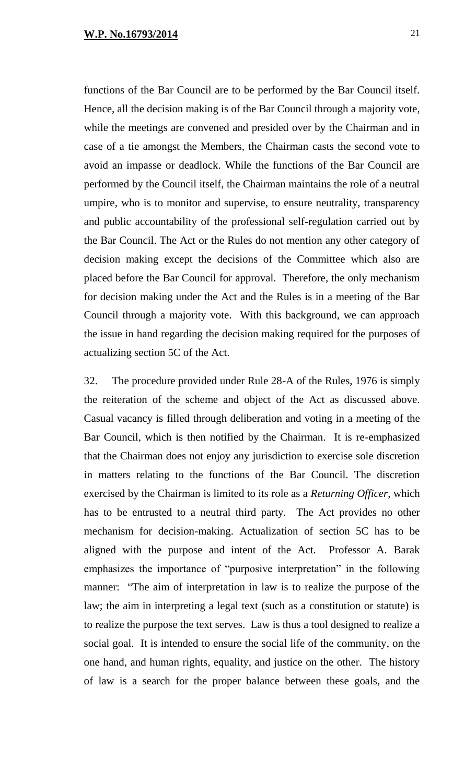functions of the Bar Council are to be performed by the Bar Council itself. Hence, all the decision making is of the Bar Council through a majority vote, while the meetings are convened and presided over by the Chairman and in case of a tie amongst the Members, the Chairman casts the second vote to avoid an impasse or deadlock. While the functions of the Bar Council are performed by the Council itself, the Chairman maintains the role of a neutral umpire, who is to monitor and supervise, to ensure neutrality, transparency and public accountability of the professional self-regulation carried out by the Bar Council. The Act or the Rules do not mention any other category of decision making except the decisions of the Committee which also are placed before the Bar Council for approval. Therefore, the only mechanism for decision making under the Act and the Rules is in a meeting of the Bar Council through a majority vote. With this background, we can approach the issue in hand regarding the decision making required for the purposes of actualizing section 5C of the Act.

32. The procedure provided under Rule 28-A of the Rules, 1976 is simply the reiteration of the scheme and object of the Act as discussed above. Casual vacancy is filled through deliberation and voting in a meeting of the Bar Council, which is then notified by the Chairman. It is re-emphasized that the Chairman does not enjoy any jurisdiction to exercise sole discretion in matters relating to the functions of the Bar Council. The discretion exercised by the Chairman is limited to its role as a *Returning Officer,* which has to be entrusted to a neutral third party. The Act provides no other mechanism for decision-making. Actualization of section 5C has to be aligned with the purpose and intent of the Act. Professor A. Barak emphasizes the importance of "purposive interpretation" in the following manner: "The aim of interpretation in law is to realize the purpose of the law; the aim in interpreting a legal text (such as a constitution or statute) is to realize the purpose the text serves. Law is thus a tool designed to realize a social goal. It is intended to ensure the social life of the community, on the one hand, and human rights, equality, and justice on the other. The history of law is a search for the proper balance between these goals, and the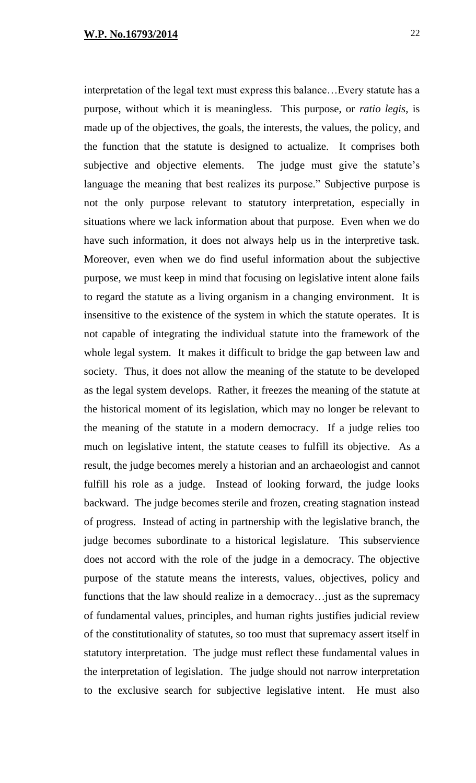interpretation of the legal text must express this balance…Every statute has a purpose, without which it is meaningless. This purpose, or *ratio legis*, is made up of the objectives, the goals, the interests, the values, the policy, and the function that the statute is designed to actualize. It comprises both subjective and objective elements. The judge must give the statute's language the meaning that best realizes its purpose." Subjective purpose is not the only purpose relevant to statutory interpretation, especially in situations where we lack information about that purpose. Even when we do have such information, it does not always help us in the interpretive task. Moreover, even when we do find useful information about the subjective purpose, we must keep in mind that focusing on legislative intent alone fails to regard the statute as a living organism in a changing environment. It is insensitive to the existence of the system in which the statute operates. It is not capable of integrating the individual statute into the framework of the whole legal system. It makes it difficult to bridge the gap between law and society. Thus, it does not allow the meaning of the statute to be developed as the legal system develops. Rather, it freezes the meaning of the statute at the historical moment of its legislation, which may no longer be relevant to the meaning of the statute in a modern democracy. If a judge relies too much on legislative intent, the statute ceases to fulfill its objective. As a result, the judge becomes merely a historian and an archaeologist and cannot fulfill his role as a judge. Instead of looking forward, the judge looks backward. The judge becomes sterile and frozen, creating stagnation instead of progress. Instead of acting in partnership with the legislative branch, the judge becomes subordinate to a historical legislature. This subservience does not accord with the role of the judge in a democracy. The objective purpose of the statute means the interests, values, objectives, policy and functions that the law should realize in a democracy…just as the supremacy of fundamental values, principles, and human rights justifies judicial review of the constitutionality of statutes, so too must that supremacy assert itself in statutory interpretation. The judge must reflect these fundamental values in the interpretation of legislation. The judge should not narrow interpretation to the exclusive search for subjective legislative intent. He must also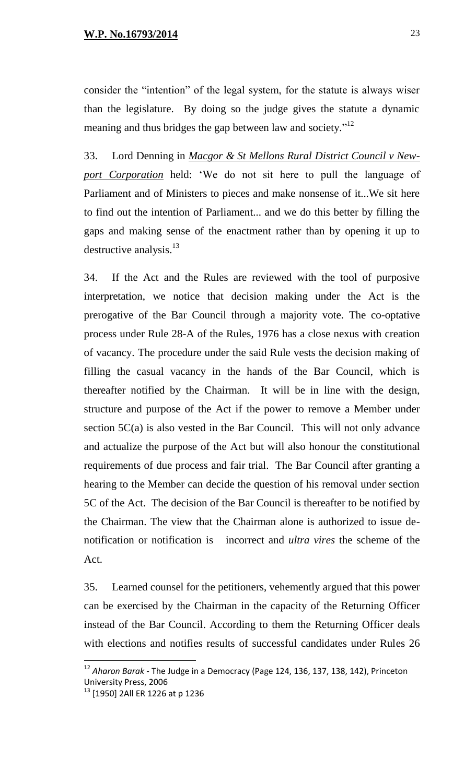consider the "intention" of the legal system, for the statute is always wiser than the legislature. By doing so the judge gives the statute a dynamic meaning and thus bridges the gap between law and society."<sup>12</sup>

33. Lord Denning in *Macgor & St Mellons Rural District Council v Newport Corporation* held: 'We do not sit here to pull the language of Parliament and of Ministers to pieces and make nonsense of it...We sit here to find out the intention of Parliament... and we do this better by filling the gaps and making sense of the enactment rather than by opening it up to destructive analysis. $13$ 

34. If the Act and the Rules are reviewed with the tool of purposive interpretation, we notice that decision making under the Act is the prerogative of the Bar Council through a majority vote. The co-optative process under Rule 28-A of the Rules, 1976 has a close nexus with creation of vacancy. The procedure under the said Rule vests the decision making of filling the casual vacancy in the hands of the Bar Council, which is thereafter notified by the Chairman. It will be in line with the design, structure and purpose of the Act if the power to remove a Member under section 5C(a) is also vested in the Bar Council. This will not only advance and actualize the purpose of the Act but will also honour the constitutional requirements of due process and fair trial. The Bar Council after granting a hearing to the Member can decide the question of his removal under section 5C of the Act. The decision of the Bar Council is thereafter to be notified by the Chairman. The view that the Chairman alone is authorized to issue denotification or notification is incorrect and *ultra vires* the scheme of the Act.

35. Learned counsel for the petitioners, vehemently argued that this power can be exercised by the Chairman in the capacity of the Returning Officer instead of the Bar Council. According to them the Returning Officer deals with elections and notifies results of successful candidates under Rules 26

<sup>12</sup> *Aharon Barak -* The Judge in a Democracy (Page 124, 136, 137, 138, 142), Princeton University Press, 2006

<sup>&</sup>lt;sup>13</sup> [1950] 2All ER 1226 at p 1236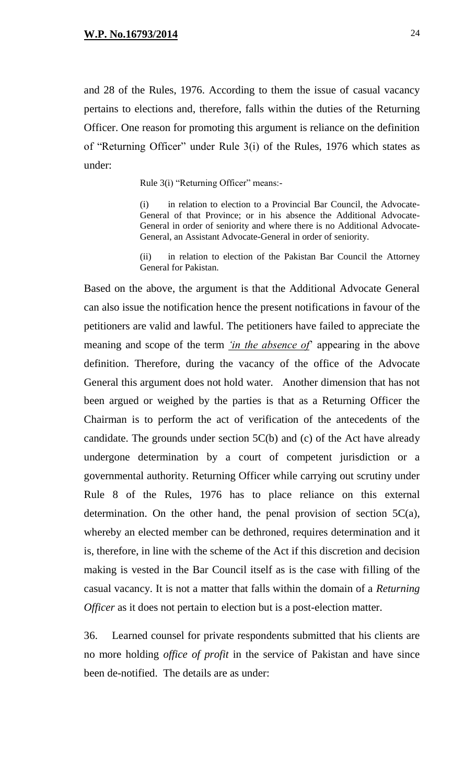and 28 of the Rules, 1976. According to them the issue of casual vacancy pertains to elections and, therefore, falls within the duties of the Returning Officer. One reason for promoting this argument is reliance on the definition of "Returning Officer" under Rule 3(i) of the Rules, 1976 which states as under:

Rule 3(i) "Returning Officer" means:-

(i) in relation to election to a Provincial Bar Council, the Advocate-General of that Province; or in his absence the Additional Advocate-General in order of seniority and where there is no Additional Advocate-General, an Assistant Advocate-General in order of seniority.

(ii) in relation to election of the Pakistan Bar Council the Attorney General for Pakistan.

Based on the above, the argument is that the Additional Advocate General can also issue the notification hence the present notifications in favour of the petitioners are valid and lawful. The petitioners have failed to appreciate the meaning and scope of the term *'in the absence of*' appearing in the above definition. Therefore, during the vacancy of the office of the Advocate General this argument does not hold water. Another dimension that has not been argued or weighed by the parties is that as a Returning Officer the Chairman is to perform the act of verification of the antecedents of the candidate. The grounds under section 5C(b) and (c) of the Act have already undergone determination by a court of competent jurisdiction or a governmental authority. Returning Officer while carrying out scrutiny under Rule 8 of the Rules, 1976 has to place reliance on this external determination. On the other hand, the penal provision of section  $5C(a)$ , whereby an elected member can be dethroned, requires determination and it is, therefore, in line with the scheme of the Act if this discretion and decision making is vested in the Bar Council itself as is the case with filling of the casual vacancy. It is not a matter that falls within the domain of a *Returning Officer* as it does not pertain to election but is a post-election matter.

36. Learned counsel for private respondents submitted that his clients are no more holding *office of profit* in the service of Pakistan and have since been de-notified. The details are as under: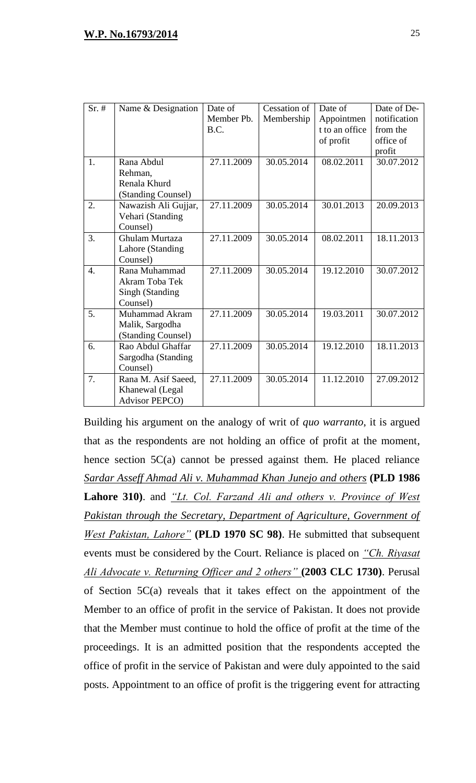| $Sr.$ #          | Name & Designation    | Date of    | Cessation of | Date of        | Date of De-  |
|------------------|-----------------------|------------|--------------|----------------|--------------|
|                  |                       | Member Pb. | Membership   | Appointmen     | notification |
|                  |                       | B.C.       |              | t to an office | from the     |
|                  |                       |            |              | of profit      | office of    |
|                  |                       |            |              |                | profit       |
| 1.               | Rana Abdul            | 27.11.2009 | 30.05.2014   | 08.02.2011     | 30.07.2012   |
|                  | Rehman,               |            |              |                |              |
|                  | Renala Khurd          |            |              |                |              |
|                  | (Standing Counsel)    |            |              |                |              |
| $\overline{2}$ . | Nawazish Ali Gujjar,  | 27.11.2009 | 30.05.2014   | 30.01.2013     | 20.09.2013   |
|                  | Vehari (Standing      |            |              |                |              |
|                  | Counsel)              |            |              |                |              |
| 3.               | Ghulam Murtaza        | 27.11.2009 | 30.05.2014   | 08.02.2011     | 18.11.2013   |
|                  | Lahore (Standing      |            |              |                |              |
|                  | Counsel)              |            |              |                |              |
| $\overline{4}$ . | Rana Muhammad         | 27.11.2009 | 30.05.2014   | 19.12.2010     | 30.07.2012   |
|                  | Akram Toba Tek        |            |              |                |              |
|                  | Singh (Standing       |            |              |                |              |
|                  | Counsel)              |            |              |                |              |
| 5.               | Muhammad Akram        | 27.11.2009 | 30.05.2014   | 19.03.2011     | 30.07.2012   |
|                  | Malik, Sargodha       |            |              |                |              |
|                  | (Standing Counsel)    |            |              |                |              |
| 6.               | Rao Abdul Ghaffar     | 27.11.2009 | 30.05.2014   | 19.12.2010     | 18.11.2013   |
|                  | Sargodha (Standing    |            |              |                |              |
|                  | Counsel)              |            |              |                |              |
| 7.               | Rana M. Asif Saeed,   | 27.11.2009 | 30.05.2014   | 11.12.2010     | 27.09.2012   |
|                  | Khanewal (Legal       |            |              |                |              |
|                  | <b>Advisor PEPCO)</b> |            |              |                |              |

Building his argument on the analogy of writ of *quo warranto*, it is argued that as the respondents are not holding an office of profit at the moment, hence section 5C(a) cannot be pressed against them. He placed reliance *Sardar Asseff Ahmad Ali v. Muhammad Khan Junejo and others* **(PLD 1986 Lahore 310)**. and *"Lt. Col. Farzand Ali and others v. Province of West Pakistan through the Secretary, Department of Agriculture, Government of West Pakistan, Lahore"* **(PLD 1970 SC 98)**. He submitted that subsequent events must be considered by the Court. Reliance is placed on *"Ch. Riyasat Ali Advocate v. Returning Officer and 2 others"* **(2003 CLC 1730)**. Perusal of Section 5C(a) reveals that it takes effect on the appointment of the Member to an office of profit in the service of Pakistan. It does not provide that the Member must continue to hold the office of profit at the time of the proceedings. It is an admitted position that the respondents accepted the office of profit in the service of Pakistan and were duly appointed to the said posts. Appointment to an office of profit is the triggering event for attracting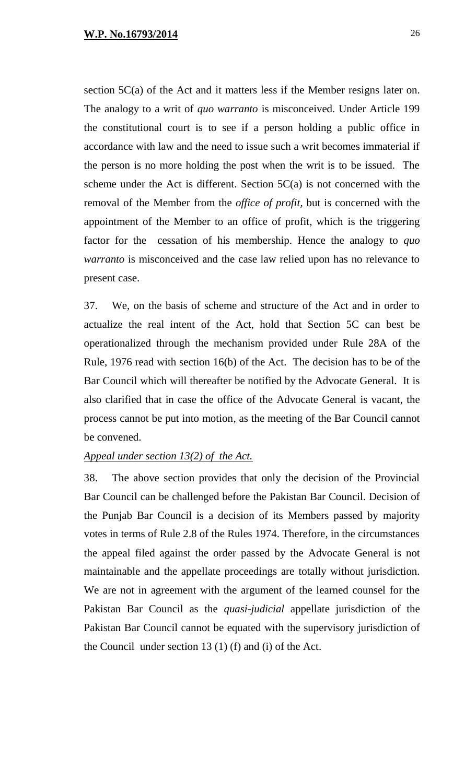section 5C(a) of the Act and it matters less if the Member resigns later on. The analogy to a writ of *quo warranto* is misconceived. Under Article 199 the constitutional court is to see if a person holding a public office in accordance with law and the need to issue such a writ becomes immaterial if the person is no more holding the post when the writ is to be issued. The scheme under the Act is different. Section  $5C(a)$  is not concerned with the removal of the Member from the *office of profit,* but is concerned with the appointment of the Member to an office of profit, which is the triggering factor for the cessation of his membership. Hence the analogy to *quo warranto* is misconceived and the case law relied upon has no relevance to present case.

37. We, on the basis of scheme and structure of the Act and in order to actualize the real intent of the Act, hold that Section 5C can best be operationalized through the mechanism provided under Rule 28A of the Rule, 1976 read with section 16(b) of the Act. The decision has to be of the Bar Council which will thereafter be notified by the Advocate General. It is also clarified that in case the office of the Advocate General is vacant, the process cannot be put into motion, as the meeting of the Bar Council cannot be convened.

#### *Appeal under section 13(2) of the Act.*

38. The above section provides that only the decision of the Provincial Bar Council can be challenged before the Pakistan Bar Council. Decision of the Punjab Bar Council is a decision of its Members passed by majority votes in terms of Rule 2.8 of the Rules 1974. Therefore, in the circumstances the appeal filed against the order passed by the Advocate General is not maintainable and the appellate proceedings are totally without jurisdiction. We are not in agreement with the argument of the learned counsel for the Pakistan Bar Council as the *quasi-judicial* appellate jurisdiction of the Pakistan Bar Council cannot be equated with the supervisory jurisdiction of the Council under section 13 (1) (f) and (i) of the Act.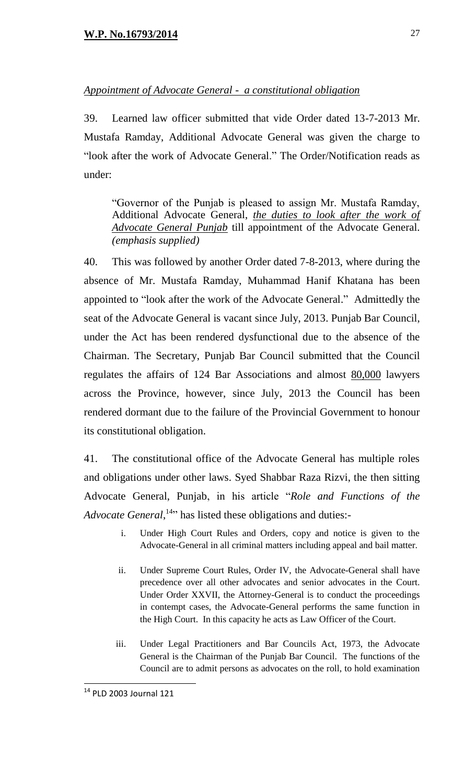# *Appointment of Advocate General - a constitutional obligation*

39. Learned law officer submitted that vide Order dated 13-7-2013 Mr. Mustafa Ramday, Additional Advocate General was given the charge to "look after the work of Advocate General." The Order/Notification reads as under:

"Governor of the Punjab is pleased to assign Mr. Mustafa Ramday, Additional Advocate General, *the duties to look after the work of Advocate General Punjab* till appointment of the Advocate General. *(emphasis supplied)*

40. This was followed by another Order dated 7-8-2013, where during the absence of Mr. Mustafa Ramday, Muhammad Hanif Khatana has been appointed to "look after the work of the Advocate General." Admittedly the seat of the Advocate General is vacant since July, 2013. Punjab Bar Council, under the Act has been rendered dysfunctional due to the absence of the Chairman. The Secretary, Punjab Bar Council submitted that the Council regulates the affairs of 124 Bar Associations and almost 80,000 lawyers across the Province, however, since July, 2013 the Council has been rendered dormant due to the failure of the Provincial Government to honour its constitutional obligation.

41. The constitutional office of the Advocate General has multiple roles and obligations under other laws. Syed Shabbar Raza Rizvi, the then sitting Advocate General, Punjab, in his article "*Role and Functions of the*  Advocate General,<sup>14,</sup> has listed these obligations and duties:-

- i. Under High Court Rules and Orders, copy and notice is given to the Advocate-General in all criminal matters including appeal and bail matter.
- ii. Under Supreme Court Rules, Order IV, the Advocate-General shall have precedence over all other advocates and senior advocates in the Court. Under Order XXVII, the Attorney-General is to conduct the proceedings in contempt cases, the Advocate-General performs the same function in the High Court. In this capacity he acts as Law Officer of the Court.
- iii. Under Legal Practitioners and Bar Councils Act, 1973, the Advocate General is the Chairman of the Punjab Bar Council. The functions of the Council are to admit persons as advocates on the roll, to hold examination

<sup>&</sup>lt;sup>14</sup> PLD 2003 Journal 121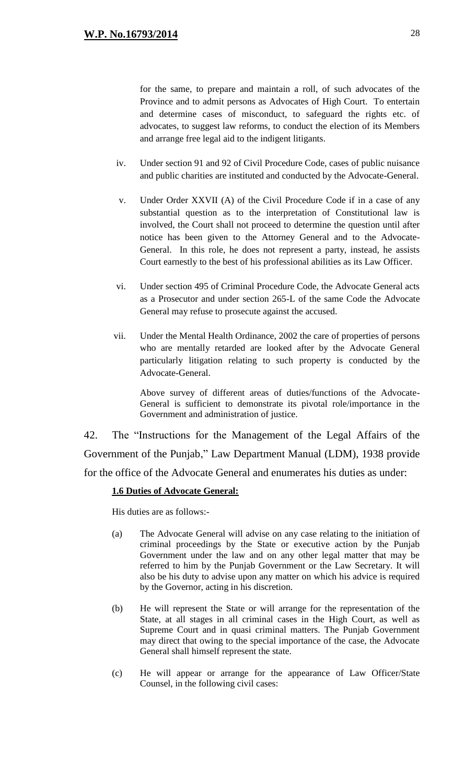- iv. Under section 91 and 92 of Civil Procedure Code, cases of public nuisance and public charities are instituted and conducted by the Advocate-General.
- v. Under Order XXVII (A) of the Civil Procedure Code if in a case of any substantial question as to the interpretation of Constitutional law is involved, the Court shall not proceed to determine the question until after notice has been given to the Attorney General and to the Advocate-General. In this role, he does not represent a party, instead, he assists Court earnestly to the best of his professional abilities as its Law Officer.
- vi. Under section 495 of Criminal Procedure Code, the Advocate General acts as a Prosecutor and under section 265-L of the same Code the Advocate General may refuse to prosecute against the accused.
- vii. Under the Mental Health Ordinance, 2002 the care of properties of persons who are mentally retarded are looked after by the Advocate General particularly litigation relating to such property is conducted by the Advocate-General.

Above survey of different areas of duties/functions of the Advocate-General is sufficient to demonstrate its pivotal role/importance in the Government and administration of justice.

42. The "Instructions for the Management of the Legal Affairs of the Government of the Punjab," Law Department Manual (LDM), 1938 provide for the office of the Advocate General and enumerates his duties as under:

## **1.6 Duties of Advocate General:**

His duties are as follows:-

- (a) The Advocate General will advise on any case relating to the initiation of criminal proceedings by the State or executive action by the Punjab Government under the law and on any other legal matter that may be referred to him by the Punjab Government or the Law Secretary. It will also be his duty to advise upon any matter on which his advice is required by the Governor, acting in his discretion.
- (b) He will represent the State or will arrange for the representation of the State, at all stages in all criminal cases in the High Court, as well as Supreme Court and in quasi criminal matters. The Punjab Government may direct that owing to the special importance of the case, the Advocate General shall himself represent the state.
- (c) He will appear or arrange for the appearance of Law Officer/State Counsel, in the following civil cases: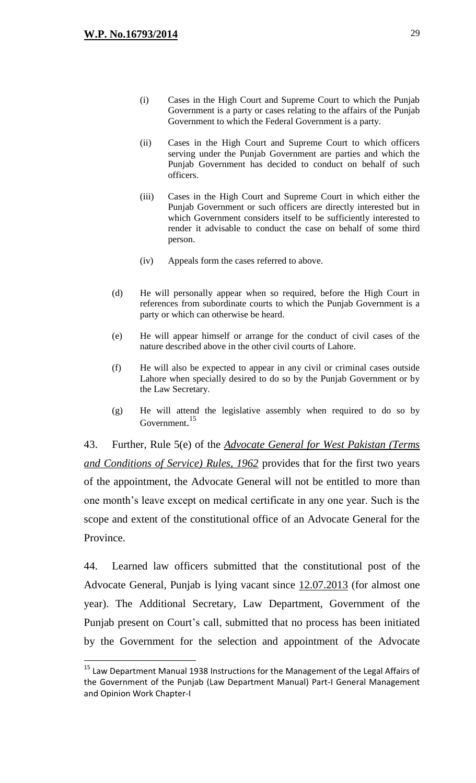$\overline{a}$ 

- (i) Cases in the High Court and Supreme Court to which the Punjab Government is a party or cases relating to the affairs of the Punjab Government to which the Federal Government is a party.
- (ii) Cases in the High Court and Supreme Court to which officers serving under the Punjab Government are parties and which the Punjab Government has decided to conduct on behalf of such officers.
- (iii) Cases in the High Court and Supreme Court in which either the Punjab Government or such officers are directly interested but in which Government considers itself to be sufficiently interested to render it advisable to conduct the case on behalf of some third person.
- (iv) Appeals form the cases referred to above.
- (d) He will personally appear when so required, before the High Court in references from subordinate courts to which the Punjab Government is a party or which can otherwise be heard.
- (e) He will appear himself or arrange for the conduct of civil cases of the nature described above in the other civil courts of Lahore.
- (f) He will also be expected to appear in any civil or criminal cases outside Lahore when specially desired to do so by the Punjab Government or by the Law Secretary.
- (g) He will attend the legislative assembly when required to do so by Government.<sup>15</sup>

43. Further, Rule 5(e) of the *Advocate General for West Pakistan (Terms and Conditions of Service) Rules, 1962* provides that for the first two years of the appointment, the Advocate General will not be entitled to more than one month's leave except on medical certificate in any one year. Such is the scope and extent of the constitutional office of an Advocate General for the Province.

44. Learned law officers submitted that the constitutional post of the Advocate General, Punjab is lying vacant since 12.07.2013 (for almost one year). The Additional Secretary, Law Department, Government of the Punjab present on Court's call, submitted that no process has been initiated by the Government for the selection and appointment of the Advocate

<sup>&</sup>lt;sup>15</sup> Law Department Manual 1938 Instructions for the Management of the Legal Affairs of the Government of the Punjab (Law Department Manual) Part-I General Management and Opinion Work Chapter-I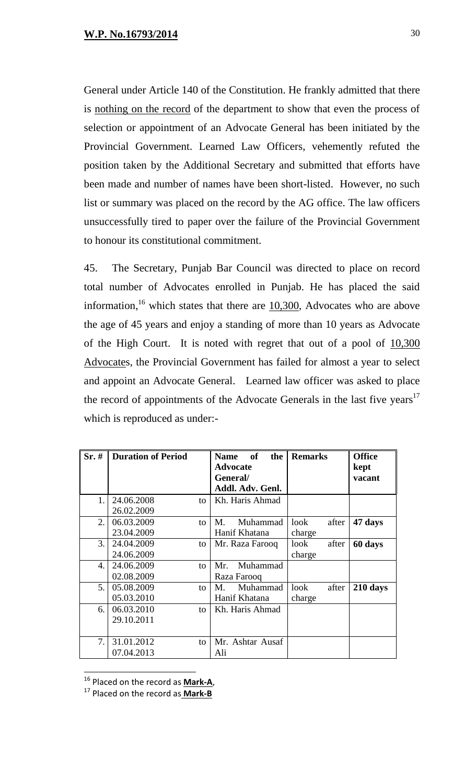General under Article 140 of the Constitution. He frankly admitted that there is nothing on the record of the department to show that even the process of selection or appointment of an Advocate General has been initiated by the Provincial Government. Learned Law Officers, vehemently refuted the position taken by the Additional Secretary and submitted that efforts have been made and number of names have been short-listed. However, no such list or summary was placed on the record by the AG office. The law officers unsuccessfully tired to paper over the failure of the Provincial Government to honour its constitutional commitment.

45. The Secretary, Punjab Bar Council was directed to place on record total number of Advocates enrolled in Punjab. He has placed the said information,  $16$  which states that there are  $10,300$ , Advocates who are above the age of 45 years and enjoy a standing of more than 10 years as Advocate of the High Court. It is noted with regret that out of a pool of  $10,300$ Advocates, the Provincial Government has failed for almost a year to select and appoint an Advocate General. Learned law officer was asked to place the record of appointments of the Advocate Generals in the last five years<sup>17</sup> which is reproduced as under:-

| Sr.# | <b>Duration of Period</b> |    | <b>Name</b><br><b>of</b><br>the | <b>Remarks</b> | <b>Office</b> |
|------|---------------------------|----|---------------------------------|----------------|---------------|
|      |                           |    | <b>Advocate</b>                 |                | kept          |
|      |                           |    | General/                        |                | vacant        |
|      |                           |    | Addl. Adv. Genl.                |                |               |
| 1.   | 24.06.2008                | to | Kh. Haris Ahmad                 |                |               |
|      | 26.02.2009                |    |                                 |                |               |
| 2.   | 06.03.2009                | to | Muhammad<br>M.                  | look<br>after  | 47 days       |
|      | 23.04.2009                |    | Hanif Khatana                   | charge         |               |
| 3.   | 24.04.2009                | to | Mr. Raza Farooq                 | after<br>look  | 60 days       |
|      | 24.06.2009                |    |                                 | charge         |               |
| 4.   | 24.06.2009                | to | Muhammad<br>Mr.                 |                |               |
|      | 02.08.2009                |    | Raza Farooq                     |                |               |
| 5.   | 05.08.2009                | to | Muhammad<br>M.                  | look<br>after  | 210 days      |
|      | 05.03.2010                |    | Hanif Khatana                   | charge         |               |
| 6.   | 06.03.2010                | to | Kh. Haris Ahmad                 |                |               |
|      | 29.10.2011                |    |                                 |                |               |
|      |                           |    |                                 |                |               |
| 7.   | 31.01.2012                | to | Mr. Ashtar Ausaf                |                |               |
|      | 07.04.2013                |    | Ali                             |                |               |

<sup>16</sup> Placed on the record as **Mark-A**,

<sup>17</sup> Placed on the record as **Mark-B**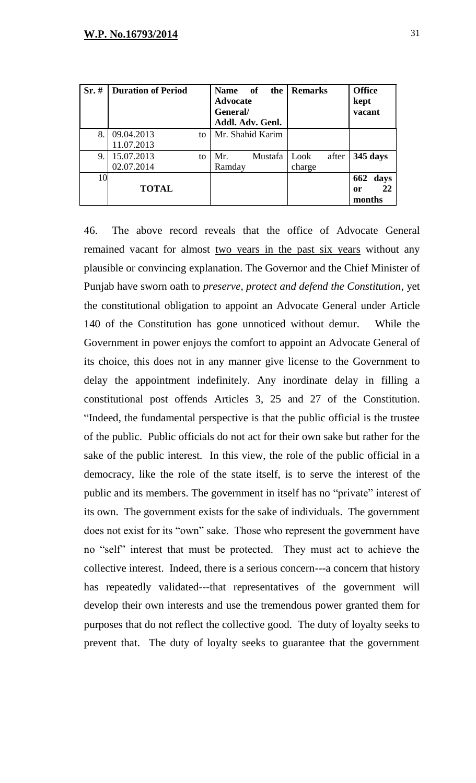| Sr.# | <b>Duration of Period</b> |    | <b>Name</b><br><b>Advocate</b><br>General/<br>Addl. Adv. Genl. | of<br>the | Remarks       | <b>Office</b><br>kept<br>vacant |
|------|---------------------------|----|----------------------------------------------------------------|-----------|---------------|---------------------------------|
| 8.   | 09.04.2013                | to | Mr. Shahid Karim                                               |           |               |                                 |
|      | 11.07.2013                |    |                                                                |           |               |                                 |
| 9.   | 15.07.2013                | to | Mr.                                                            | Mustafa   | Look<br>after | 345 days                        |
|      | 02.07.2014                |    | Ramday                                                         |           | charge        |                                 |
| 10   |                           |    |                                                                |           |               | 662<br>days                     |
|      | <b>TOTAL</b>              |    |                                                                |           |               | 22<br>or                        |
|      |                           |    |                                                                |           |               | months                          |

46. The above record reveals that the office of Advocate General remained vacant for almost two years in the past six years without any plausible or convincing explanation. The Governor and the Chief Minister of Punjab have sworn oath to *preserve, protect and defend the Constitution*, yet the constitutional obligation to appoint an Advocate General under Article 140 of the Constitution has gone unnoticed without demur. While the Government in power enjoys the comfort to appoint an Advocate General of its choice, this does not in any manner give license to the Government to delay the appointment indefinitely. Any inordinate delay in filling a constitutional post offends Articles 3, 25 and 27 of the Constitution. "Indeed, the fundamental perspective is that the public official is the trustee of the public. Public officials do not act for their own sake but rather for the sake of the public interest. In this view, the role of the public official in a democracy, like the role of the state itself, is to serve the interest of the public and its members. The government in itself has no "private" interest of its own. The government exists for the sake of individuals. The government does not exist for its "own" sake. Those who represent the government have no "self" interest that must be protected. They must act to achieve the collective interest. Indeed, there is a serious concern---a concern that history has repeatedly validated---that representatives of the government will develop their own interests and use the tremendous power granted them for purposes that do not reflect the collective good. The duty of loyalty seeks to prevent that. The duty of loyalty seeks to guarantee that the government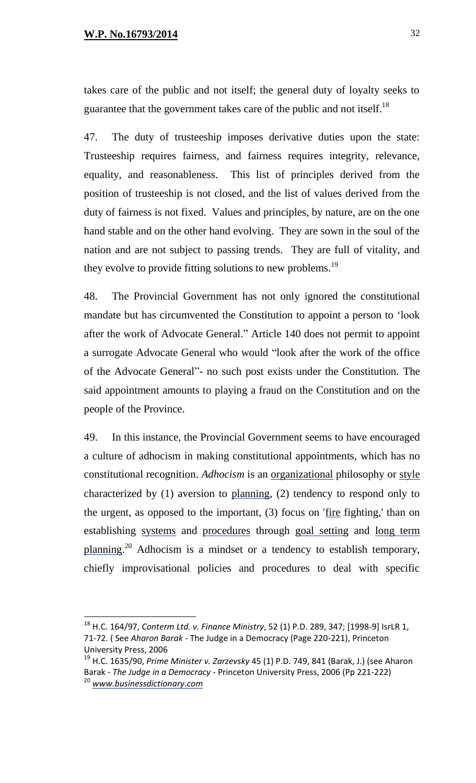$\overline{a}$ 

takes care of the public and not itself; the general duty of loyalty seeks to guarantee that the government takes care of the public and not itself.<sup>18</sup>

47. The duty of trusteeship imposes derivative duties upon the state: Trusteeship requires fairness, and fairness requires integrity, relevance, equality, and reasonableness. This list of principles derived from the position of trusteeship is not closed, and the list of values derived from the duty of fairness is not fixed. Values and principles, by nature, are on the one hand stable and on the other hand evolving. They are sown in the soul of the nation and are not subject to passing trends. They are full of vitality, and they evolve to provide fitting solutions to new problems.<sup>19</sup>

48. The Provincial Government has not only ignored the constitutional mandate but has circumvented the Constitution to appoint a person to 'look after the work of Advocate General." Article 140 does not permit to appoint a surrogate Advocate General who would "look after the work of the office of the Advocate General"- no such post exists under the Constitution. The said appointment amounts to playing a fraud on the Constitution and on the people of the Province.

49. In this instance, the Provincial Government seems to have encouraged a culture of adhocism in making constitutional appointments, which has no constitutional recognition. *Adhocism* is an [organizational](http://www.businessdictionary.com/definition/organizational.html) philosophy or [style](http://www.businessdictionary.com/definition/style.html) characterized by (1) aversion to [planning,](http://www.businessdictionary.com/definition/planning.html) (2) tendency to respond only to the urgent, as opposed to the important, (3) focus on ['fire](http://www.businessdictionary.com/definition/fire.html) fighting,' than on establishing [systems](http://www.businessdictionary.com/definition/system.html) and [procedures](http://www.businessdictionary.com/definition/procedure.html) through [goal setting](http://www.businessdictionary.com/definition/goal-setting.html) and [long term](http://www.businessdictionary.com/definition/long-term-planning.html)  [planning.](http://www.businessdictionary.com/definition/long-term-planning.html)<sup>20</sup> Adhocism is a mindset or a tendency to establish temporary, chiefly improvisational policies and procedures to deal with specific

<sup>18</sup> H.C. 164/97, *Conterm Ltd. v. Finance Ministry*, 52 (1) P.D. 289, 347; [1998-9] IsrLR 1, 71-72. ( See *Aharon Barak -* The Judge in a Democracy (Page 220-221), Princeton University Press, 2006

<sup>19</sup> H.C. 1635/90, *Prime Minister v. Zarzevsky* 45 (1) P.D. 749, 841 (Barak, J.) (see Aharon Barak *- The Judge in a Democracy* - Princeton University Press, 2006 (Pp 221-222) <sup>20</sup> *[www.businessdictionary.com](http://www.businessdictionary.com/)*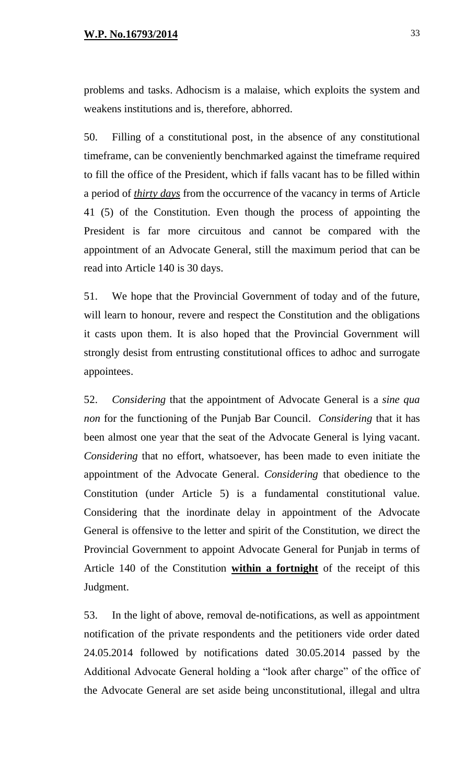problems and tasks. Adhocism is a malaise, which exploits the system and weakens institutions and is, therefore, abhorred.

50. Filling of a constitutional post, in the absence of any constitutional timeframe, can be conveniently benchmarked against the timeframe required to fill the office of the President, which if falls vacant has to be filled within a period of *thirty days* from the occurrence of the vacancy in terms of Article 41 (5) of the Constitution. Even though the process of appointing the President is far more circuitous and cannot be compared with the appointment of an Advocate General, still the maximum period that can be read into Article 140 is 30 days.

51. We hope that the Provincial Government of today and of the future, will learn to honour, revere and respect the Constitution and the obligations it casts upon them. It is also hoped that the Provincial Government will strongly desist from entrusting constitutional offices to adhoc and surrogate appointees.

52. *Considering* that the appointment of Advocate General is a *sine qua non* for the functioning of the Punjab Bar Council. *Considering* that it has been almost one year that the seat of the Advocate General is lying vacant. *Considering* that no effort, whatsoever, has been made to even initiate the appointment of the Advocate General. *Considering* that obedience to the Constitution (under Article 5) is a fundamental constitutional value. Considering that the inordinate delay in appointment of the Advocate General is offensive to the letter and spirit of the Constitution, we direct the Provincial Government to appoint Advocate General for Punjab in terms of Article 140 of the Constitution **within a fortnight** of the receipt of this Judgment.

53. In the light of above, removal de-notifications, as well as appointment notification of the private respondents and the petitioners vide order dated 24.05.2014 followed by notifications dated 30.05.2014 passed by the Additional Advocate General holding a "look after charge" of the office of the Advocate General are set aside being unconstitutional, illegal and ultra